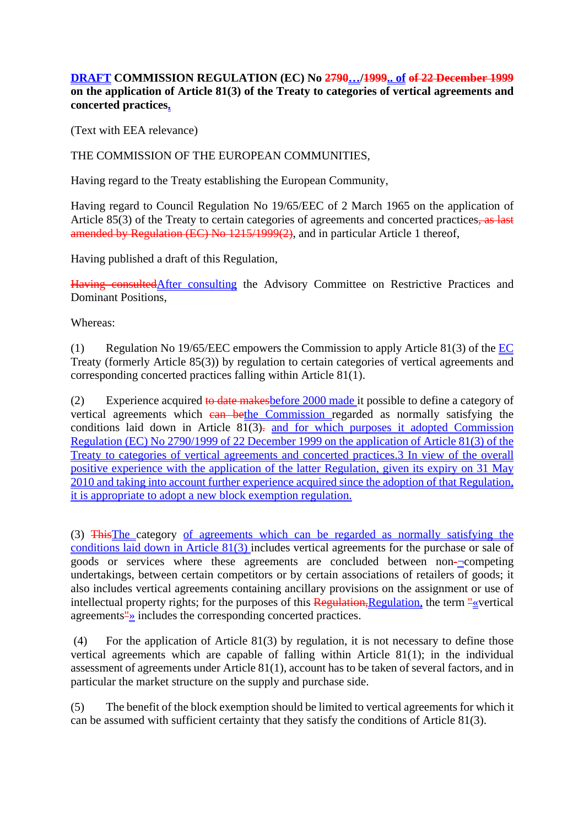# **DRAFT COMMISSION REGULATION (EC) No 2790…/1999.. of of 22 December 1999 on the application of Article 81(3) of the Treaty to categories of vertical agreements and concerted practices.**

(Text with EEA relevance)

THE COMMISSION OF THE EUROPEAN COMMUNITIES,

Having regard to the Treaty establishing the European Community,

Having regard to Council Regulation No 19/65/EEC of 2 March 1965 on the application of Article 85(3) of the Treaty to certain categories of agreements and concerted practices, as last amended by Regulation (EC) No 1215/1999(2), and in particular Article 1 thereof,

Having published a draft of this Regulation,

Having consultedAfter consulting the Advisory Committee on Restrictive Practices and Dominant Positions,

Whereas:

(1) Regulation No 19/65/EEC empowers the Commission to apply Article 81(3) of the  $\overline{EC}$ Treaty (formerly Article 85(3)) by regulation to certain categories of vertical agreements and corresponding concerted practices falling within Article 81(1).

(2) Experience acquired to date makesbefore 2000 made it possible to define a category of vertical agreements which can be the Commission regarded as normally satisfying the conditions laid down in Article  $8\overline{1(3)}$ , and for which purposes it adopted Commission Regulation (EC) No 2790/1999 of 22 December 1999 on the application of Article 81(3) of the Treaty to categories of vertical agreements and concerted practices.3 In view of the overall positive experience with the application of the latter Regulation, given its expiry on 31 May 2010 and taking into account further experience acquired since the adoption of that Regulation, it is appropriate to adopt a new block exemption regulation.

(3) ThisThe category of agreements which can be regarded as normally satisfying the conditions laid down in Article 81(3) includes vertical agreements for the purchase or sale of goods or services where these agreements are concluded between non-¬competing undertakings, between certain competitors or by certain associations of retailers of goods; it also includes vertical agreements containing ancillary provisions on the assignment or use of intellectual property rights; for the purposes of this  $\frac{Regularian, Regularation, the term "overtical"$ agreements $\frac{1}{2}$  includes the corresponding concerted practices.

 (4) For the application of Article 81(3) by regulation, it is not necessary to define those vertical agreements which are capable of falling within Article 81(1); in the individual assessment of agreements under Article 81(1), account has to be taken of several factors, and in particular the market structure on the supply and purchase side.

(5) The benefit of the block exemption should be limited to vertical agreements for which it can be assumed with sufficient certainty that they satisfy the conditions of Article 81(3).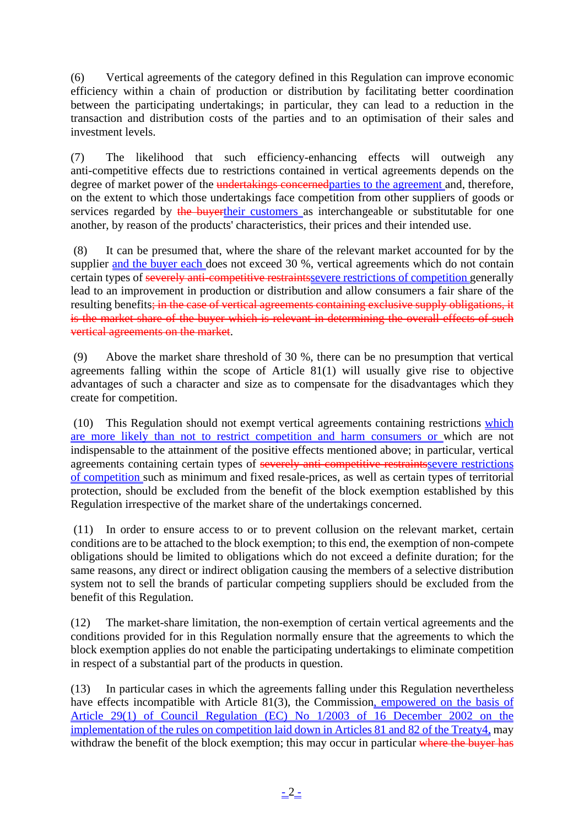(6) Vertical agreements of the category defined in this Regulation can improve economic efficiency within a chain of production or distribution by facilitating better coordination between the participating undertakings; in particular, they can lead to a reduction in the transaction and distribution costs of the parties and to an optimisation of their sales and investment levels.

(7) The likelihood that such efficiency-enhancing effects will outweigh any anti-competitive effects due to restrictions contained in vertical agreements depends on the degree of market power of the undertakings concerned parties to the agreement and, therefore, on the extent to which those undertakings face competition from other suppliers of goods or services regarded by the buyertheir customers as interchangeable or substitutable for one another, by reason of the products' characteristics, their prices and their intended use.

 (8) It can be presumed that, where the share of the relevant market accounted for by the supplier and the buyer each does not exceed 30 %, vertical agreements which do not contain certain types of severely anti-competitive restraintssevere restrictions of competition generally lead to an improvement in production or distribution and allow consumers a fair share of the resulting benefits; in the case of vertical agreements containing exclusive supply obligations, it is the market share of the buyer which is relevant in determining the overall effects of such vertical agreements on the market.

 (9) Above the market share threshold of 30 %, there can be no presumption that vertical agreements falling within the scope of Article 81(1) will usually give rise to objective advantages of such a character and size as to compensate for the disadvantages which they create for competition.

 (10) This Regulation should not exempt vertical agreements containing restrictions which are more likely than not to restrict competition and harm consumers or which are not indispensable to the attainment of the positive effects mentioned above; in particular, vertical agreements containing certain types of severely anti-competitive restraintssevere restrictions of competition such as minimum and fixed resale-prices, as well as certain types of territorial protection, should be excluded from the benefit of the block exemption established by this Regulation irrespective of the market share of the undertakings concerned.

 (11) In order to ensure access to or to prevent collusion on the relevant market, certain conditions are to be attached to the block exemption; to this end, the exemption of non-compete obligations should be limited to obligations which do not exceed a definite duration; for the same reasons, any direct or indirect obligation causing the members of a selective distribution system not to sell the brands of particular competing suppliers should be excluded from the benefit of this Regulation.

(12) The market-share limitation, the non-exemption of certain vertical agreements and the conditions provided for in this Regulation normally ensure that the agreements to which the block exemption applies do not enable the participating undertakings to eliminate competition in respect of a substantial part of the products in question.

(13) In particular cases in which the agreements falling under this Regulation nevertheless have effects incompatible with Article 81(3), the Commission, empowered on the basis of Article 29(1) of Council Regulation (EC) No 1/2003 of 16 December 2002 on the implementation of the rules on competition laid down in Articles 81 and 82 of the Treaty4, may withdraw the benefit of the block exemption; this may occur in particular where the buyer has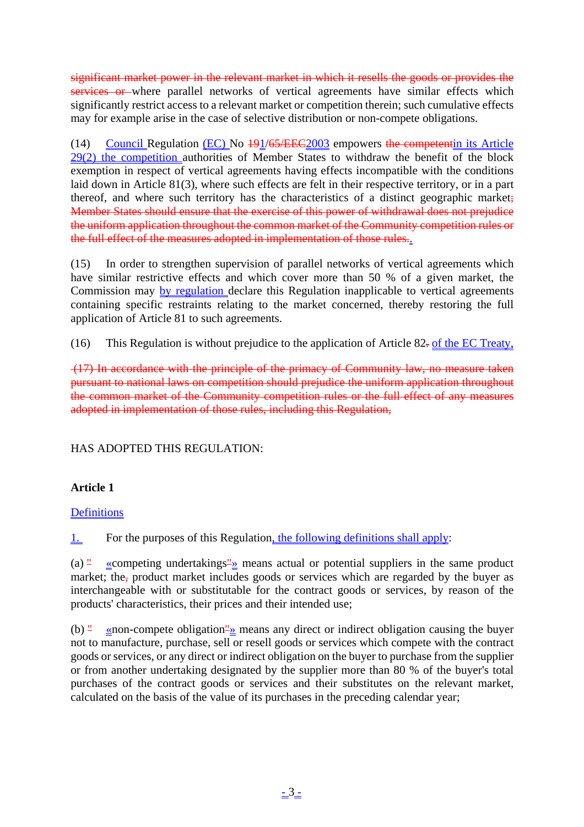significant market power in the relevant market in which it resells the goods or provides the services or where parallel networks of vertical agreements have similar effects which significantly restrict access to a relevant market or competition therein; such cumulative effects may for example arise in the case of selective distribution or non-compete obligations.

(14) Council Regulation (EC) No  $\frac{191}{65}{\text{/EEC2003}}$  empowers the competent in its Article 29(2) the competition authorities of Member States to withdraw the benefit of the block exemption in respect of vertical agreements having effects incompatible with the conditions laid down in Article 81(3), where such effects are felt in their respective territory, or in a part thereof, and where such territory has the characteristics of a distinct geographic market; Member States should ensure that the exercise of this power of withdrawal does not prejudice the uniform application throughout the common market of the Community competition rules or the full effect of the measures adopted in implementation of those rules..

(15) In order to strengthen supervision of parallel networks of vertical agreements which have similar restrictive effects and which cover more than 50 % of a given market, the Commission may by regulation declare this Regulation inapplicable to vertical agreements containing specific restraints relating to the market concerned, thereby restoring the full application of Article 81 to such agreements.

(16) This Regulation is without prejudice to the application of Article  $82$ <sup>t</sup> the EC Treaty,

 (17) In accordance with the principle of the primacy of Community law, no measure taken pursuant to national laws on competition should prejudice the uniform application throughout the common market of the Community competition rules or the full effect of any measures adopted in implementation of those rules, including this Regulation,

HAS ADOPTED THIS REGULATION:

# **Article 1**

#### **Definitions**

1. For the purposes of this Regulation, the following definitions shall apply:

(a)  $\frac{u}{x}$  «competing undertakings" means actual or potential suppliers in the same product market; the, product market includes goods or services which are regarded by the buyer as interchangeable with or substitutable for the contract goods or services, by reason of the products' characteristics, their prices and their intended use;

(b)  $\frac{\pi}{2}$  «non-compete obligation  $\frac{\pi}{2}$  means any direct or indirect obligation causing the buyer not to manufacture, purchase, sell or resell goods or services which compete with the contract goods or services, or any direct or indirect obligation on the buyer to purchase from the supplier or from another undertaking designated by the supplier more than 80 % of the buyer's total purchases of the contract goods or services and their substitutes on the relevant market, calculated on the basis of the value of its purchases in the preceding calendar year;

 $-3 -$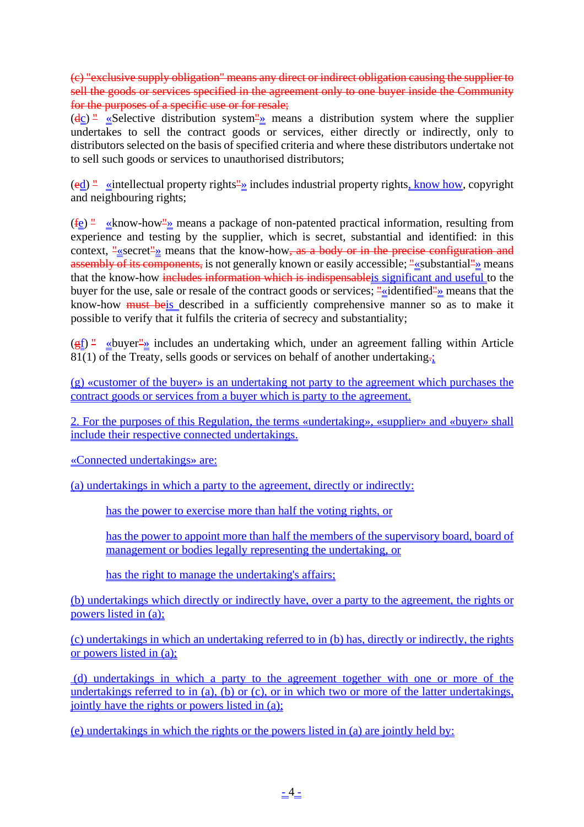(c) "exclusive supply obligation" means any direct or indirect obligation causing the supplier to sell the goods or services specified in the agreement only to one buyer inside the Community for the purposes of a specific use or for resale;

 $(dc)$  " «Selective distribution system"» means a distribution system where the supplier undertakes to sell the contract goods or services, either directly or indirectly, only to distributors selected on the basis of specified criteria and where these distributors undertake not to sell such goods or services to unauthorised distributors;

 $\text{ (ed)}$  " «intellectual property rights"» includes industrial property rights, know how, copyright and neighbouring rights;

 $(\frac{f_e}{f_e})$  " «know-how"» means a package of non-patented practical information, resulting from experience and testing by the supplier, which is secret, substantial and identified: in this context,  $\frac{w}{x}$  execret<sup>"</sup> means that the know-how, as a body or in the precise configuration and assembly of its components, is not generally known or easily accessible;  $\frac{\text{w}}{\text{N}}$  substantial  $\frac{\text{w}}{\text{N}}$  means that the know-how includes information which is indispensable is significant and useful to the buyer for the use, sale or resale of the contract goods or services; "«identified"» means that the know-how must beis described in a sufficiently comprehensive manner so as to make it possible to verify that it fulfils the criteria of secrecy and substantiality;

 $(gf)$ " «buyer"» includes an undertaking which, under an agreement falling within Article 81(1) of the Treaty, sells goods or services on behalf of another undertaking.

(g) «customer of the buyer» is an undertaking not party to the agreement which purchases the contract goods or services from a buyer which is party to the agreement.

2. For the purposes of this Regulation, the terms «undertaking», «supplier» and «buyer» shall include their respective connected undertakings.

«Connected undertakings» are:

(a) undertakings in which a party to the agreement, directly or indirectly:

has the power to exercise more than half the voting rights, or

has the power to appoint more than half the members of the supervisory board, board of management or bodies legally representing the undertaking, or

has the right to manage the undertaking's affairs;

(b) undertakings which directly or indirectly have, over a party to the agreement, the rights or powers listed in (a);

(c) undertakings in which an undertaking referred to in (b) has, directly or indirectly, the rights or powers listed in (a);

 (d) undertakings in which a party to the agreement together with one or more of the undertakings referred to in (a), (b) or (c), or in which two or more of the latter undertakings, jointly have the rights or powers listed in (a);

(e) undertakings in which the rights or the powers listed in (a) are jointly held by: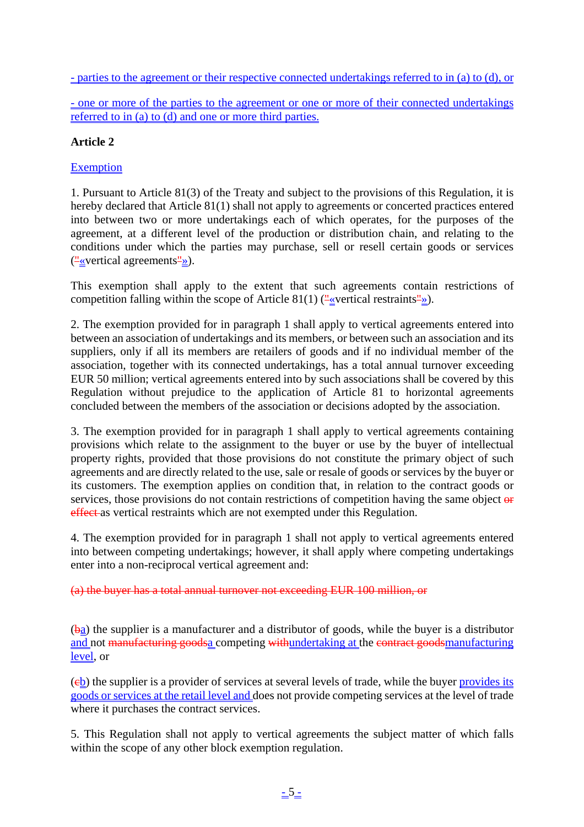- parties to the agreement or their respective connected undertakings referred to in (a) to (d), or

- one or more of the parties to the agreement or one or more of their connected undertakings referred to in (a) to (d) and one or more third parties.

## **Article 2**

## Exemption

1. Pursuant to Article 81(3) of the Treaty and subject to the provisions of this Regulation, it is hereby declared that Article 81(1) shall not apply to agreements or concerted practices entered into between two or more undertakings each of which operates, for the purposes of the agreement, at a different level of the production or distribution chain, and relating to the conditions under which the parties may purchase, sell or resell certain goods or services  $\frac{\text{``} \times \text{vertical} \text{ agreements''} \times \text{``}}{2}$ .

This exemption shall apply to the extent that such agreements contain restrictions of competition falling within the scope of Article 81(1) (" $\leq$  vertical restraints").

2. The exemption provided for in paragraph 1 shall apply to vertical agreements entered into between an association of undertakings and its members, or between such an association and its suppliers, only if all its members are retailers of goods and if no individual member of the association, together with its connected undertakings, has a total annual turnover exceeding EUR 50 million; vertical agreements entered into by such associations shall be covered by this Regulation without prejudice to the application of Article 81 to horizontal agreements concluded between the members of the association or decisions adopted by the association.

3. The exemption provided for in paragraph 1 shall apply to vertical agreements containing provisions which relate to the assignment to the buyer or use by the buyer of intellectual property rights, provided that those provisions do not constitute the primary object of such agreements and are directly related to the use, sale or resale of goods or services by the buyer or its customers. The exemption applies on condition that, in relation to the contract goods or services, those provisions do not contain restrictions of competition having the same object or effect as vertical restraints which are not exempted under this Regulation.

4. The exemption provided for in paragraph 1 shall not apply to vertical agreements entered into between competing undertakings; however, it shall apply where competing undertakings enter into a non-reciprocal vertical agreement and:

(a) the buyer has a total annual turnover not exceeding EUR 100 million, or

 $(\frac{ba}{2})$  the supplier is a manufacturer and a distributor of goods, while the buyer is a distributor and not manufacturing goodsa competing withundertaking at the contract goodsmanufacturing level, or

 $(e<sub>b</sub>)$  the supplier is a provider of services at several levels of trade, while the buyer provides its goods or services at the retail level and does not provide competing services at the level of trade where it purchases the contract services.

5. This Regulation shall not apply to vertical agreements the subject matter of which falls within the scope of any other block exemption regulation.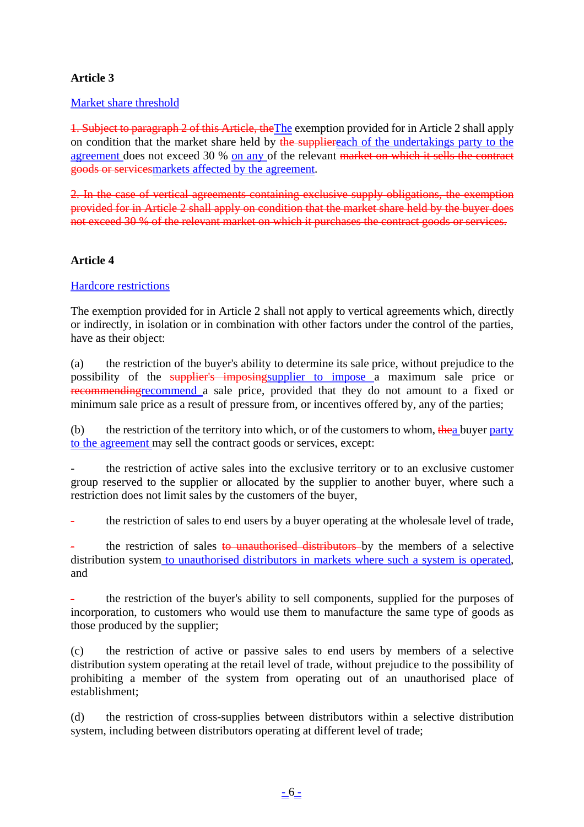# **Article 3**

## Market share threshold

1. Subject to paragraph 2 of this Article, theThe exemption provided for in Article 2 shall apply on condition that the market share held by the suppliereach of the undertakings party to the agreement does not exceed 30 % on any of the relevant market on which it sells the contract goods or servicesmarkets affected by the agreement.

2. In the case of vertical agreements containing exclusive supply obligations, the exemption provided for in Article 2 shall apply on condition that the market share held by the buyer does not exceed 30 % of the relevant market on which it purchases the contract goods or services.

## **Article 4**

## Hardcore restrictions

The exemption provided for in Article 2 shall not apply to vertical agreements which, directly or indirectly, in isolation or in combination with other factors under the control of the parties, have as their object:

(a) the restriction of the buyer's ability to determine its sale price, without prejudice to the possibility of the supplier's imposingsupplier to impose a maximum sale price or recommendingrecommend a sale price, provided that they do not amount to a fixed or minimum sale price as a result of pressure from, or incentives offered by, any of the parties;

(b) the restriction of the territory into which, or of the customers to whom, the a buyer party to the agreement may sell the contract goods or services, except:

- the restriction of active sales into the exclusive territory or to an exclusive customer group reserved to the supplier or allocated by the supplier to another buyer, where such a restriction does not limit sales by the customers of the buyer,

the restriction of sales to end users by a buyer operating at the wholesale level of trade,

the restriction of sales to unauthorised distributors by the members of a selective distribution system to unauthorised distributors in markets where such a system is operated, and

the restriction of the buyer's ability to sell components, supplied for the purposes of incorporation, to customers who would use them to manufacture the same type of goods as those produced by the supplier;

(c) the restriction of active or passive sales to end users by members of a selective distribution system operating at the retail level of trade, without prejudice to the possibility of prohibiting a member of the system from operating out of an unauthorised place of establishment;

(d) the restriction of cross-supplies between distributors within a selective distribution system, including between distributors operating at different level of trade;

- 6 -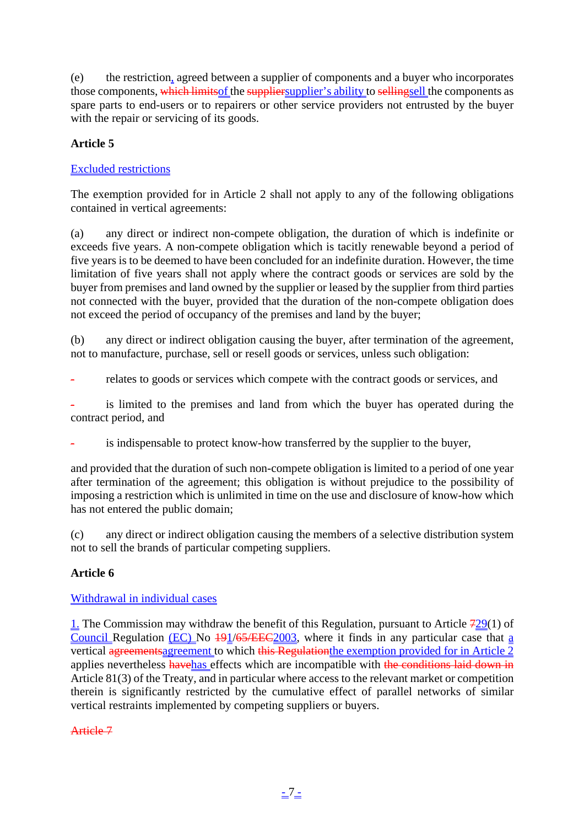(e) the restriction, agreed between a supplier of components and a buyer who incorporates those components, which limits of the suppliers upplier's ability to sellingsell the components as spare parts to end-users or to repairers or other service providers not entrusted by the buyer with the repair or servicing of its goods.

# **Article 5**

# Excluded restrictions

The exemption provided for in Article 2 shall not apply to any of the following obligations contained in vertical agreements:

(a) any direct or indirect non-compete obligation, the duration of which is indefinite or exceeds five years. A non-compete obligation which is tacitly renewable beyond a period of five years is to be deemed to have been concluded for an indefinite duration. However, the time limitation of five years shall not apply where the contract goods or services are sold by the buyer from premises and land owned by the supplier or leased by the supplier from third parties not connected with the buyer, provided that the duration of the non-compete obligation does not exceed the period of occupancy of the premises and land by the buyer;

(b) any direct or indirect obligation causing the buyer, after termination of the agreement, not to manufacture, purchase, sell or resell goods or services, unless such obligation:

relates to goods or services which compete with the contract goods or services, and

is limited to the premises and land from which the buyer has operated during the contract period, and

is indispensable to protect know-how transferred by the supplier to the buyer,

and provided that the duration of such non-compete obligation is limited to a period of one year after termination of the agreement; this obligation is without prejudice to the possibility of imposing a restriction which is unlimited in time on the use and disclosure of know-how which has not entered the public domain;

(c) any direct or indirect obligation causing the members of a selective distribution system not to sell the brands of particular competing suppliers.

# **Article 6**

#### Withdrawal in individual cases

1. The Commission may withdraw the benefit of this Regulation, pursuant to Article  $\frac{729}{10}$  of Council Regulation (EC) No  $\frac{191}{65}{\text{EEC2003}}$ , where it finds in any particular case that a vertical agreements agreement to which this Regulation the exemption provided for in Article  $\overline{2}$ applies nevertheless havehas effects which are incompatible with the conditions laid down in Article 81(3) of the Treaty, and in particular where access to the relevant market or competition therein is significantly restricted by the cumulative effect of parallel networks of similar vertical restraints implemented by competing suppliers or buyers.

# Article 7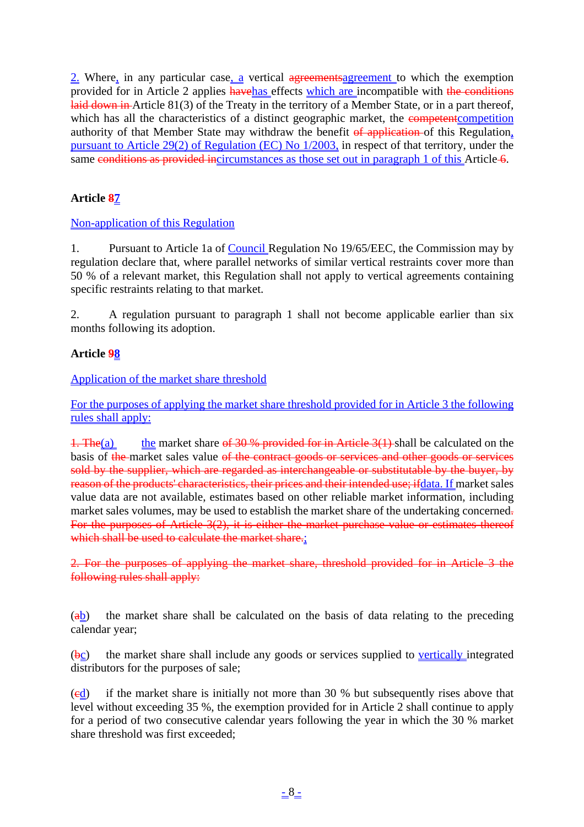2. Where, in any particular case, a vertical  $\frac{1}{\text{agreement}}$  agreement to which the exemption provided for in Article 2 applies  $\overline{\text{have}}$  have the set of the set of the conditions of the conditions laid down in Article 81(3) of the Treaty in the territory of a Member State, or in a part thereof, which has all the characteristics of a distinct geographic market, the competent competition authority of that Member State may withdraw the benefit of application of this Regulation, pursuant to Article 29(2) of Regulation (EC) No 1/2003, in respect of that territory, under the same conditions as provided incircumstances as those set out in paragraph 1 of this Article-6.

# **Article 87**

Non-application of this Regulation

1. Pursuant to Article 1a of Council Regulation No 19/65/EEC, the Commission may by regulation declare that, where parallel networks of similar vertical restraints cover more than 50 % of a relevant market, this Regulation shall not apply to vertical agreements containing specific restraints relating to that market.

2. A regulation pursuant to paragraph 1 shall not become applicable earlier than six months following its adoption.

# **Article 98**

Application of the market share threshold

For the purposes of applying the market share threshold provided for in Article 3 the following rules shall apply:

1. The(a) the market share of 30 % provided for in Article  $3(1)$  shall be calculated on the basis of the market sales value of the contract goods or services and other goods or services sold by the supplier, which are regarded as interchangeable or substitutable by the buyer, by reason of the products' characteristics, their prices and their intended use; ifdata. If market sales value data are not available, estimates based on other reliable market information, including market sales volumes, may be used to establish the market share of the undertaking concerned. For the purposes of Article 3(2), it is either the market purchase value or estimates thereof which shall be used to calculate the market share.;

2. For the purposes of applying the market share, threshold provided for in Article 3 the following rules shall apply:

 $(a b)$  the market share shall be calculated on the basis of data relating to the preceding calendar year;

 $(\frac{b}{c})$  the market share shall include any goods or services supplied to vertically integrated distributors for the purposes of sale;

(cd) if the market share is initially not more than 30 % but subsequently rises above that level without exceeding 35 %, the exemption provided for in Article 2 shall continue to apply for a period of two consecutive calendar years following the year in which the 30 % market share threshold was first exceeded;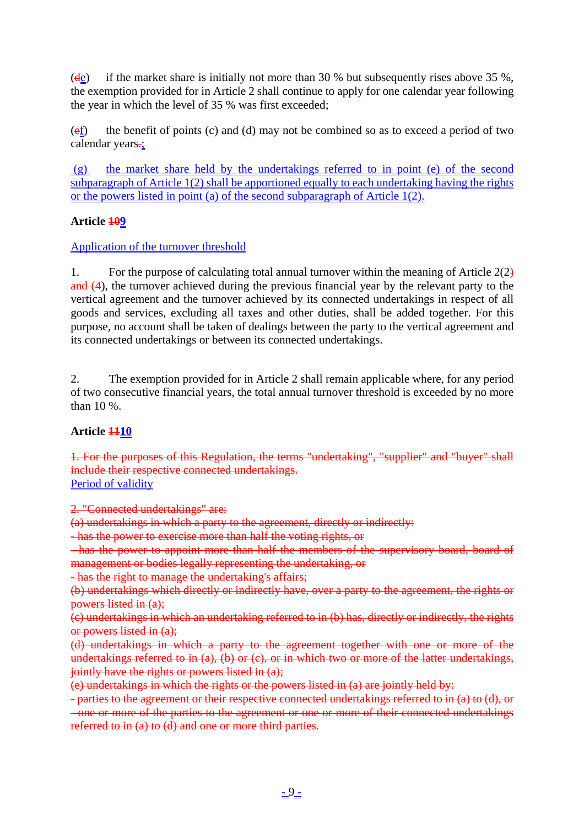$(d_{\mathcal{E}})$  if the market share is initially not more than 30 % but subsequently rises above 35 %, the exemption provided for in Article 2 shall continue to apply for one calendar year following the year in which the level of 35 % was first exceeded;

 $(e_i)$  the benefit of points (c) and (d) may not be combined so as to exceed a period of two calendar years.

 (g) the market share held by the undertakings referred to in point (e) of the second subparagraph of Article 1(2) shall be apportioned equally to each undertaking having the rights or the powers listed in point (a) of the second subparagraph of Article 1(2).

# **Article 109**

Application of the turnover threshold

1. For the purpose of calculating total annual turnover within the meaning of Article  $2(2)$ and (4), the turnover achieved during the previous financial year by the relevant party to the vertical agreement and the turnover achieved by its connected undertakings in respect of all goods and services, excluding all taxes and other duties, shall be added together. For this purpose, no account shall be taken of dealings between the party to the vertical agreement and its connected undertakings or between its connected undertakings.

2. The exemption provided for in Article 2 shall remain applicable where, for any period of two consecutive financial years, the total annual turnover threshold is exceeded by no more than 10 %.

# **Article 1110**

1. For the purposes of this Regulation, the terms "undertaking", "supplier" and "buyer" shall include their respective connected undertakings. Period of validity

2. "Connected undertakings" are:

(a) undertakings in which a party to the agreement, directly or indirectly:

- has the power to exercise more than half the voting rights, or

- has the power to appoint more than half the members of the supervisory board, board of management or bodies legally representing the undertaking, or

- has the right to manage the undertaking's affairs;

(b) undertakings which directly or indirectly have, over a party to the agreement, the rights or powers listed in (a);

(c) undertakings in which an undertaking referred to in (b) has, directly or indirectly, the rights or powers listed in (a);

(d) undertakings in which a party to the agreement together with one or more of the undertakings referred to in (a), (b) or (c), or in which two or more of the latter undertakings, jointly have the rights or powers listed in (a):

(e) undertakings in which the rights or the powers listed in (a) are jointly held by:

- parties to the agreement or their respective connected undertakings referred to in (a) to (d), or - one or more of the parties to the agreement or one or more of their connected undertakings referred to in (a) to (d) and one or more third parties.